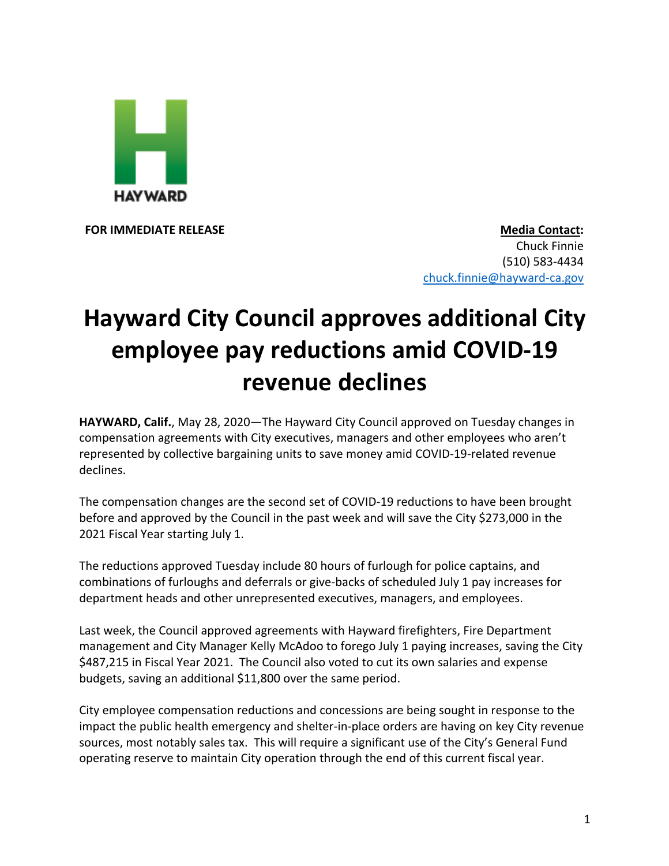

**FOR IMMEDIATE RELEASE Media Contact:** Chuck Finnie (510) 583-4434 chuck.finnie@hayward-ca.gov

## **Hayward City Council approves additional City employee pay reductions amid COVID-19 revenue declines**

**HAYWARD, Calif.**, May 28, 2020—The Hayward City Council approved on Tuesday changes in compensation agreements with City executives, managers and other employees who aren't represented by collective bargaining units to save money amid COVID-19-related revenue declines.

The compensation changes are the second set of COVID-19 reductions to have been brought before and approved by the Council in the past week and will save the City \$273,000 in the 2021 Fiscal Year starting July 1.

The reductions approved Tuesday include 80 hours of furlough for police captains, and combinations of furloughs and deferrals or give-backs of scheduled July 1 pay increases for department heads and other unrepresented executives, managers, and employees.

Last week, the Council approved agreements with Hayward firefighters, Fire Department management and City Manager Kelly McAdoo to forego July 1 paying increases, saving the City \$487,215 in Fiscal Year 2021. The Council also voted to cut its own salaries and expense budgets, saving an additional \$11,800 over the same period.

City employee compensation reductions and concessions are being sought in response to the impact the public health emergency and shelter-in-place orders are having on key City revenue sources, most notably sales tax. This will require a significant use of the City's General Fund operating reserve to maintain City operation through the end of this current fiscal year.